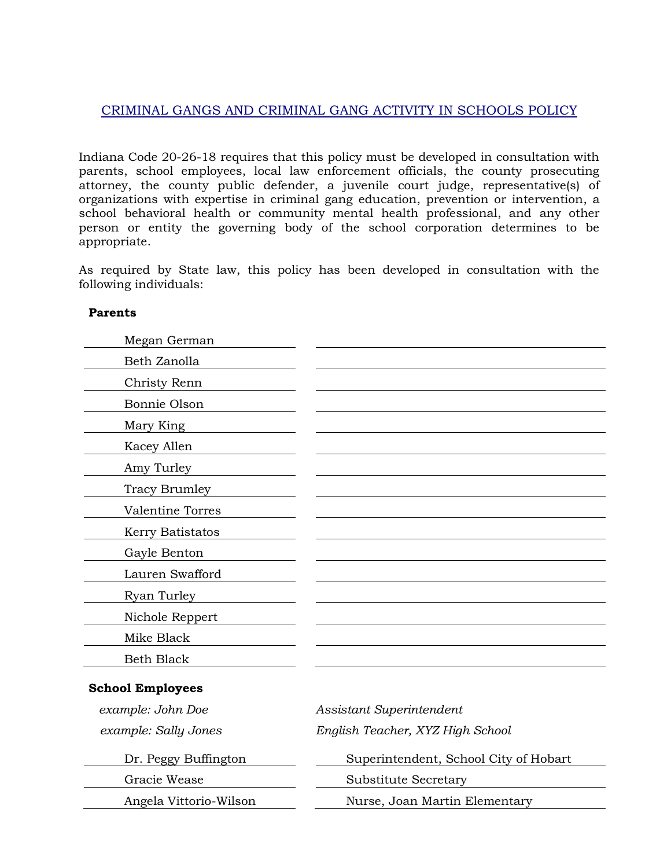## CRIMINAL GANGS AND CRIMINAL GANG ACTIVITY IN SCHOOLS POLICY

Indiana Code 20-26-18 requires that this policy must be developed in consultation with parents, school employees, local law enforcement officials, the county prosecuting attorney, the county public defender, a juvenile court judge, representative(s) of organizations with expertise in criminal gang education, prevention or intervention, a school behavioral health or community mental health professional, and any other person or entity the governing body of the school corporation determines to be appropriate.

As required by State law, this policy has been developed in consultation with the following individuals:

## **Parents**

| Megan German      |  |
|-------------------|--|
| Beth Zanolla      |  |
| Christy Renn      |  |
| Bonnie Olson      |  |
| Mary King         |  |
| Kacey Allen       |  |
| Amy Turley        |  |
| Tracy Brumley     |  |
| Valentine Torres  |  |
| Kerry Batistatos  |  |
| Gayle Benton      |  |
| Lauren Swafford   |  |
| Ryan Turley       |  |
| Nichole Reppert   |  |
| Mike Black        |  |
| <b>Beth Black</b> |  |
|                   |  |

## **School Employees**

| example: John Doe      | Assistant Superintendent              |
|------------------------|---------------------------------------|
| example: Sally Jones   | English Teacher, XYZ High School      |
| Dr. Peggy Buffington   | Superintendent, School City of Hobart |
| Gracie Wease           | Substitute Secretary                  |
| Angela Vittorio-Wilson | Nurse, Joan Martin Elementary         |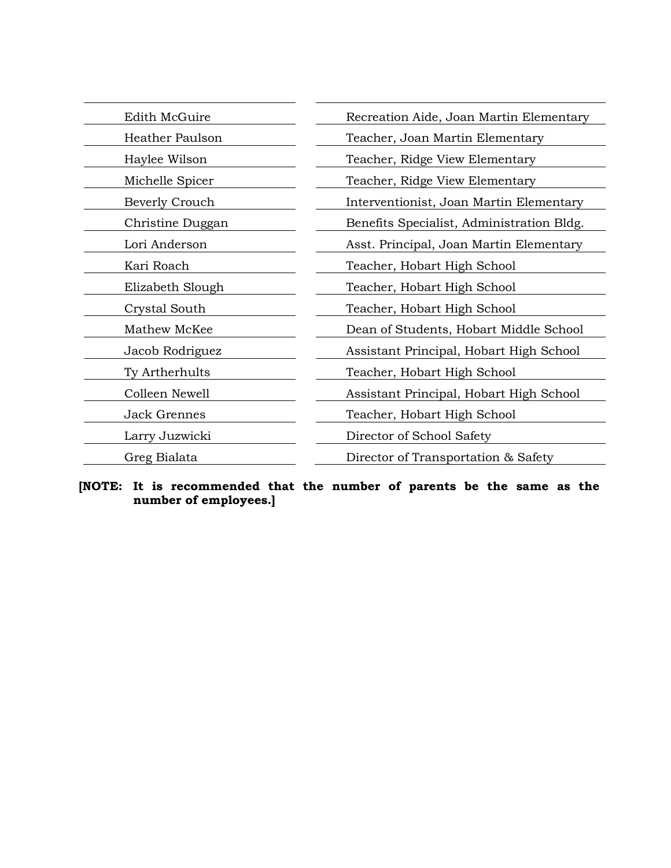| Edith McGuire          | Recreation Aide, Joan Martin Elementary   |
|------------------------|-------------------------------------------|
| <b>Heather Paulson</b> | Teacher, Joan Martin Elementary           |
| Haylee Wilson          | Teacher, Ridge View Elementary            |
| Michelle Spicer        | Teacher, Ridge View Elementary            |
| Beverly Crouch         | Interventionist, Joan Martin Elementary   |
| Christine Duggan       | Benefits Specialist, Administration Bldg. |
| Lori Anderson          | Asst. Principal, Joan Martin Elementary   |
| Kari Roach             | Teacher, Hobart High School               |
| Elizabeth Slough       | Teacher, Hobart High School               |
| Crystal South          | Teacher, Hobart High School               |
| Mathew McKee           | Dean of Students, Hobart Middle School    |
| Jacob Rodriguez        | Assistant Principal, Hobart High School   |
| Ty Artherhults         | Teacher, Hobart High School               |
| Colleen Newell         | Assistant Principal, Hobart High School   |
| <b>Jack Grennes</b>    | Teacher, Hobart High School               |
| Larry Juzwicki         | Director of School Safety                 |
| Greg Bialata           | Director of Transportation & Safety       |

**[NOTE: It is recommended that the number of parents be the same as the number of employees.]**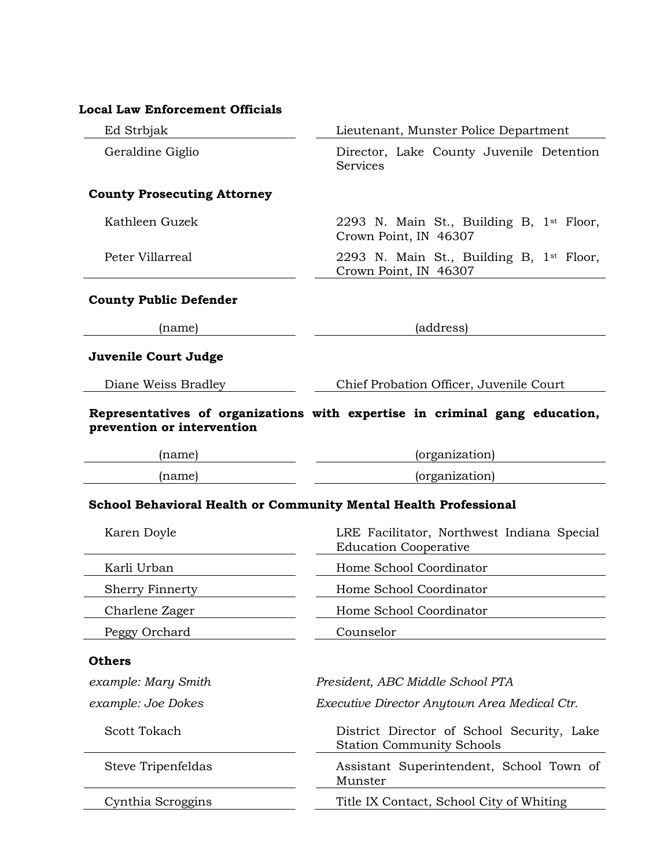| <b>Local Law Enforcement Officials</b>                                  |                                                                                |
|-------------------------------------------------------------------------|--------------------------------------------------------------------------------|
| Ed Strbjak                                                              | Lieutenant, Munster Police Department                                          |
| Geraldine Giglio                                                        | Director, Lake County Juvenile Detention<br><b>Services</b>                    |
| <b>County Prosecuting Attorney</b>                                      |                                                                                |
| Kathleen Guzek                                                          | 2293 N. Main St., Building B, 1 <sup>st</sup> Floor,<br>Crown Point, IN 46307  |
| Peter Villarreal                                                        | 2293 N. Main St., Building B, 1st Floor,<br>Crown Point, IN 46307              |
| <b>County Public Defender</b>                                           |                                                                                |
| (name)                                                                  | (address)                                                                      |
| Juvenile Court Judge                                                    |                                                                                |
| Diane Weiss Bradley                                                     | Chief Probation Officer, Juvenile Court                                        |
| prevention or intervention                                              | Representatives of organizations with expertise in criminal gang education,    |
| (name)                                                                  | (organization)                                                                 |
| (name)                                                                  | (organization)                                                                 |
| <b>School Behavioral Health or Community Mental Health Professional</b> |                                                                                |
| Karen Doyle                                                             | LRE Facilitator, Northwest Indiana Special<br><b>Education Cooperative</b>     |
| Karli Urban                                                             | Home School Coordinator                                                        |
| <b>Sherry Finnerty</b>                                                  | Home School Coordinator                                                        |
| Charlene Zager                                                          | Home School Coordinator                                                        |
| Peggy Orchard                                                           | Counselor                                                                      |
| <b>Others</b>                                                           |                                                                                |
| example: Mary Smith                                                     | President, ABC Middle School PTA                                               |
| example: Joe Dokes                                                      | Executive Director Anytown Area Medical Ctr.                                   |
| Scott Tokach                                                            | District Director of School Security, Lake<br><b>Station Community Schools</b> |
| Steve Tripenfeldas                                                      | Assistant Superintendent, School Town of<br>Munster                            |
| Cynthia Scroggins                                                       | Title IX Contact, School City of Whiting                                       |
|                                                                         |                                                                                |